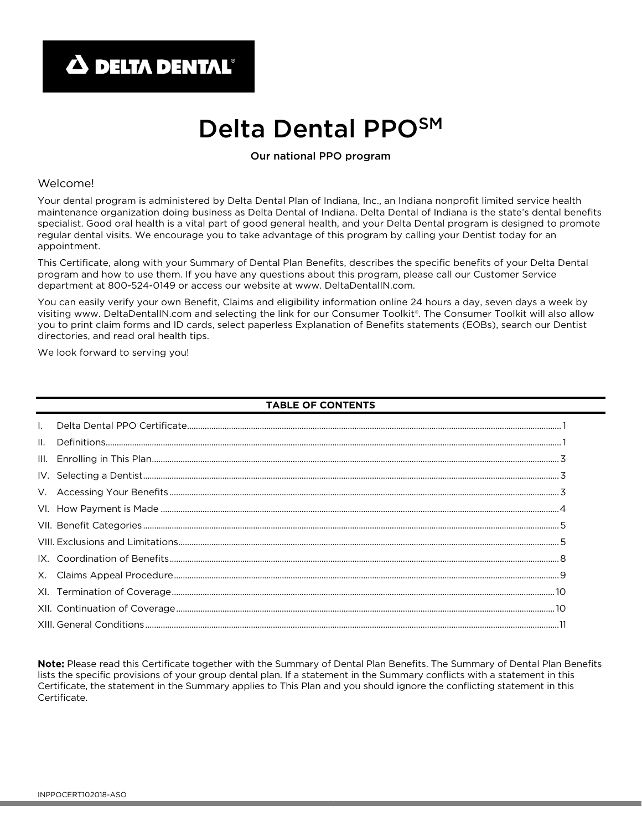# Delta Dental PPOSM

## Our national PPO program

## Welcome!

Your dental program is administered by Delta Dental Plan of Indiana, Inc., an Indiana nonprofit limited service health maintenance organization doing business as Delta Dental of Indiana. Delta Dental of Indiana is the state's dental benefits specialist. Good oral health is a vital part of good general health, and your Delta Dental program is designed to promote regular dental visits. We encourage you to take advantage of this program by calling your Dentist today for an appointment.

This Certificate, along with your Summary of Dental Plan Benefits, describes the specific benefits of your Delta Dental program and how to use them. If you have any questions about this program, please call our Customer Service department at 800-524-0149 or access our website at www. DeltaDentalIN.com.

You can easily verify your own Benefit, Claims and eligibility information online 24 hours a day, seven days a week by visiting www. DeltaDentalIN.com and selecting the link for our Consumer Toolkit®. The Consumer Toolkit will also allow you to print claim forms and ID cards, select paperless Explanation of Benefits statements (EOBs), search our Dentist directories, and read oral health tips.

We look forward to serving you!

#### TABLE OF CONTENTS

| $\mathbf{II}$ . |  |  |
|-----------------|--|--|
| III.            |  |  |
|                 |  |  |
|                 |  |  |
|                 |  |  |
|                 |  |  |
|                 |  |  |
|                 |  |  |
|                 |  |  |
|                 |  |  |
|                 |  |  |
|                 |  |  |

Note: Please read this Certificate together with the Summary of Dental Plan Benefits. The Summary of Dental Plan Benefits lists the specific provisions of your group dental plan. If a statement in the Summary conflicts with a statement in this Certificate, the statement in the Summary applies to This Plan and you should ignore the conflicting statement in this Certificate.

1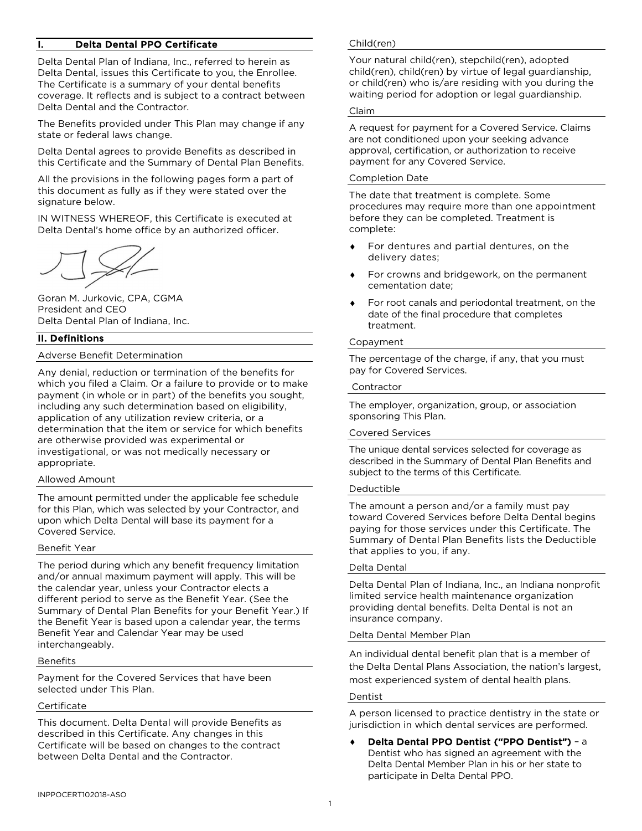## Delta Dental PPO Certificate

Delta Dental Plan of Indiana, Inc., referred to herein as Delta Dental, issues this Certificate to you, the Enrollee. The Certificate is a summary of your dental benefits coverage. It reflects and is subject to a contract between Delta Dental and the Contractor.

The Benefits provided under This Plan may change if any state or federal laws change.

Delta Dental agrees to provide Benefits as described in this Certificate and the Summary of Dental Plan Benefits.

All the provisions in the following pages form a part of this document as fully as if they were stated over the signature below.

IN WITNESS WHEREOF, this Certificate is executed at Delta Dental's home office by an authorized officer.

Goran M. Jurkovic, CPA, CGMA President and CEO Delta Dental Plan of Indiana, Inc.

## II. Definitions

#### Adverse Benefit Determination

Any denial, reduction or termination of the benefits for which you filed a Claim. Or a failure to provide or to make payment (in whole or in part) of the benefits you sought, including any such determination based on eligibility, application of any utilization review criteria, or a determination that the item or service for which benefits are otherwise provided was experimental or investigational, or was not medically necessary or appropriate.

#### Allowed Amount

The amount permitted under the applicable fee schedule for this Plan, which was selected by your Contractor, and upon which Delta Dental will base its payment for a Covered Service.

#### Benefit Year

The period during which any benefit frequency limitation and/or annual maximum payment will apply. This will be the calendar year, unless your Contractor elects a different period to serve as the Benefit Year. (See the Summary of Dental Plan Benefits for your Benefit Year.) If the Benefit Year is based upon a calendar year, the terms Benefit Year and Calendar Year may be used interchangeably.

#### Benefits

Payment for the Covered Services that have been selected under This Plan.

#### **Certificate**

This document. Delta Dental will provide Benefits as described in this Certificate. Any changes in this Certificate will be based on changes to the contract between Delta Dental and the Contractor.

#### Child(ren)

Your natural child(ren), stepchild(ren), adopted child(ren), child(ren) by virtue of legal guardianship, or child(ren) who is/are residing with you during the waiting period for adoption or legal guardianship.

#### Claim

A request for payment for a Covered Service. Claims are not conditioned upon your seeking advance approval, certification, or authorization to receive payment for any Covered Service.

#### Completion Date

The date that treatment is complete. Some procedures may require more than one appointment before they can be completed. Treatment is complete:

- For dentures and partial dentures, on the delivery dates;
- For crowns and bridgework, on the permanent cementation date;
- For root canals and periodontal treatment, on the date of the final procedure that completes treatment.

## Copayment

The percentage of the charge, if any, that you must pay for Covered Services.

#### Contractor

The employer, organization, group, or association sponsoring This Plan.

#### Covered Services

The unique dental services selected for coverage as described in the Summary of Dental Plan Benefits and subject to the terms of this Certificate.

#### Deductible

The amount a person and/or a family must pay toward Covered Services before Delta Dental begins paying for those services under this Certificate. The Summary of Dental Plan Benefits lists the Deductible that applies to you, if any.

#### Delta Dental

Delta Dental Plan of Indiana, Inc., an Indiana nonprofit limited service health maintenance organization providing dental benefits. Delta Dental is not an insurance company.

#### Delta Dental Member Plan

An individual dental benefit plan that is a member of the Delta Dental Plans Association, the nation's largest, most experienced system of dental health plans.

#### Dentist

A person licensed to practice dentistry in the state or jurisdiction in which dental services are performed.

♦ Delta Dental PPO Dentist ("PPO Dentist") – a Dentist who has signed an agreement with the Delta Dental Member Plan in his or her state to participate in Delta Dental PPO.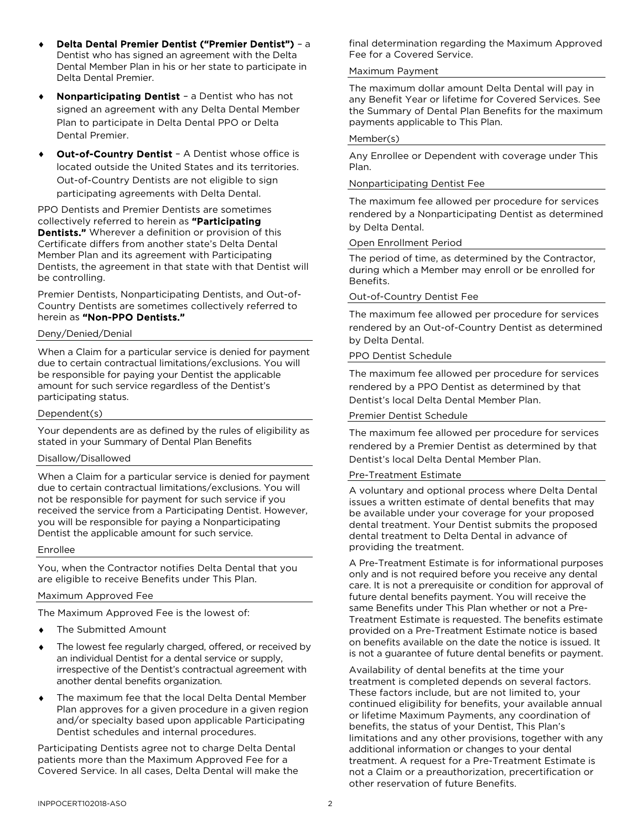- ♦ Delta Dental Premier Dentist ("Premier Dentist") a Dentist who has signed an agreement with the Delta Dental Member Plan in his or her state to participate in Delta Dental Premier.
- Nonparticipating Dentist a Dentist who has not signed an agreement with any Delta Dental Member Plan to participate in Delta Dental PPO or Delta Dental Premier.
- Out-of-Country Dentist A Dentist whose office is located outside the United States and its territories. Out-of-Country Dentists are not eligible to sign participating agreements with Delta Dental.

PPO Dentists and Premier Dentists are sometimes collectively referred to herein as "Participating **Dentists."** Wherever a definition or provision of this Certificate differs from another state's Delta Dental Member Plan and its agreement with Participating Dentists, the agreement in that state with that Dentist will be controlling.

Premier Dentists, Nonparticipating Dentists, and Out-of-Country Dentists are sometimes collectively referred to herein as "Non-PPO Dentists."

#### Deny/Denied/Denial

When a Claim for a particular service is denied for payment due to certain contractual limitations/exclusions. You will be responsible for paying your Dentist the applicable amount for such service regardless of the Dentist's participating status.

Dependent(s)

Your dependents are as defined by the rules of eligibility as stated in your Summary of Dental Plan Benefits

#### Disallow/Disallowed

When a Claim for a particular service is denied for payment due to certain contractual limitations/exclusions. You will not be responsible for payment for such service if you received the service from a Participating Dentist. However, you will be responsible for paying a Nonparticipating Dentist the applicable amount for such service.

#### Enrollee

You, when the Contractor notifies Delta Dental that you are eligible to receive Benefits under This Plan.

#### Maximum Approved Fee

The Maximum Approved Fee is the lowest of:

- The Submitted Amount
- The lowest fee regularly charged, offered, or received by an individual Dentist for a dental service or supply, irrespective of the Dentist's contractual agreement with another dental benefits organization.
- The maximum fee that the local Delta Dental Member Plan approves for a given procedure in a given region and/or specialty based upon applicable Participating Dentist schedules and internal procedures.

Participating Dentists agree not to charge Delta Dental patients more than the Maximum Approved Fee for a Covered Service. In all cases, Delta Dental will make the final determination regarding the Maximum Approved Fee for a Covered Service.

#### Maximum Payment

The maximum dollar amount Delta Dental will pay in any Benefit Year or lifetime for Covered Services. See the Summary of Dental Plan Benefits for the maximum payments applicable to This Plan.

## Member(s)

Any Enrollee or Dependent with coverage under This Plan.

## Nonparticipating Dentist Fee

The maximum fee allowed per procedure for services rendered by a Nonparticipating Dentist as determined by Delta Dental.

#### Open Enrollment Period

The period of time, as determined by the Contractor, during which a Member may enroll or be enrolled for Benefits.

## Out-of-Country Dentist Fee

The maximum fee allowed per procedure for services rendered by an Out-of-Country Dentist as determined by Delta Dental.

#### PPO Dentist Schedule

The maximum fee allowed per procedure for services rendered by a PPO Dentist as determined by that Dentist's local Delta Dental Member Plan.

## Premier Dentist Schedule

The maximum fee allowed per procedure for services rendered by a Premier Dentist as determined by that Dentist's local Delta Dental Member Plan.

#### Pre-Treatment Estimate

A voluntary and optional process where Delta Dental issues a written estimate of dental benefits that may be available under your coverage for your proposed dental treatment. Your Dentist submits the proposed dental treatment to Delta Dental in advance of providing the treatment.

A Pre-Treatment Estimate is for informational purposes only and is not required before you receive any dental care. It is not a prerequisite or condition for approval of future dental benefits payment. You will receive the same Benefits under This Plan whether or not a Pre-Treatment Estimate is requested. The benefits estimate provided on a Pre-Treatment Estimate notice is based on benefits available on the date the notice is issued. It is not a guarantee of future dental benefits or payment.

Availability of dental benefits at the time your treatment is completed depends on several factors. These factors include, but are not limited to, your continued eligibility for benefits, your available annual or lifetime Maximum Payments, any coordination of benefits, the status of your Dentist, This Plan's limitations and any other provisions, together with any additional information or changes to your dental treatment. A request for a Pre-Treatment Estimate is not a Claim or a preauthorization, precertification or other reservation of future Benefits.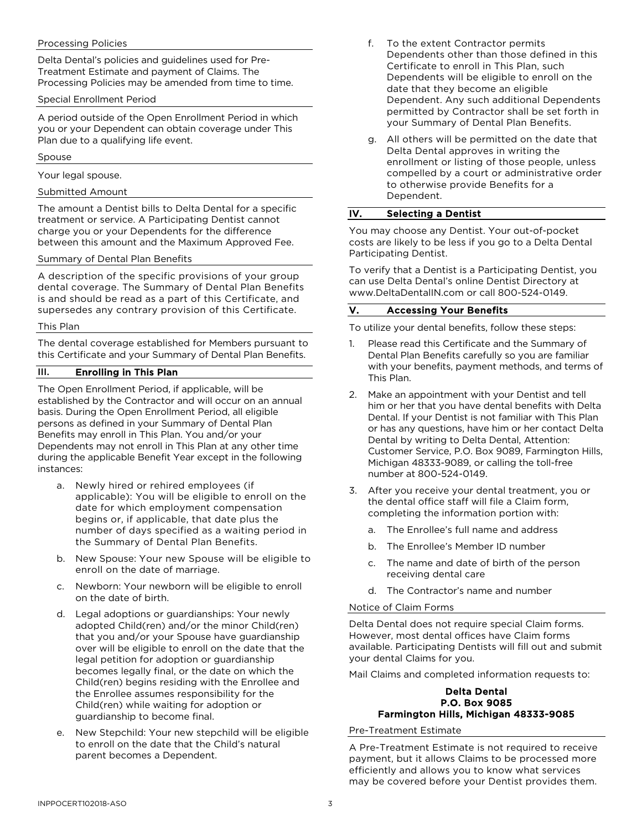## Processing Policies

Delta Dental's policies and guidelines used for Pre-Treatment Estimate and payment of Claims. The Processing Policies may be amended from time to time.

## Special Enrollment Period

A period outside of the Open Enrollment Period in which you or your Dependent can obtain coverage under This Plan due to a qualifying life event.

#### Spouse

Your legal spouse.

## Submitted Amount

The amount a Dentist bills to Delta Dental for a specific treatment or service. A Participating Dentist cannot charge you or your Dependents for the difference between this amount and the Maximum Approved Fee.

## Summary of Dental Plan Benefits

A description of the specific provisions of your group dental coverage. The Summary of Dental Plan Benefits is and should be read as a part of this Certificate, and supersedes any contrary provision of this Certificate.

## This Plan

The dental coverage established for Members pursuant to this Certificate and your Summary of Dental Plan Benefits.

## III. Enrolling in This Plan

The Open Enrollment Period, if applicable, will be established by the Contractor and will occur on an annual basis. During the Open Enrollment Period, all eligible persons as defined in your Summary of Dental Plan Benefits may enroll in This Plan. You and/or your Dependents may not enroll in This Plan at any other time during the applicable Benefit Year except in the following instances:

- a. Newly hired or rehired employees (if applicable): You will be eligible to enroll on the date for which employment compensation begins or, if applicable, that date plus the number of days specified as a waiting period in the Summary of Dental Plan Benefits.
- b. New Spouse: Your new Spouse will be eligible to enroll on the date of marriage.
- c. Newborn: Your newborn will be eligible to enroll on the date of birth.
- d. Legal adoptions or guardianships: Your newly adopted Child(ren) and/or the minor Child(ren) that you and/or your Spouse have guardianship over will be eligible to enroll on the date that the legal petition for adoption or guardianship becomes legally final, or the date on which the Child(ren) begins residing with the Enrollee and the Enrollee assumes responsibility for the Child(ren) while waiting for adoption or guardianship to become final.
- New Stepchild: Your new stepchild will be eligible to enroll on the date that the Child's natural parent becomes a Dependent.
- f. To the extent Contractor permits Dependents other than those defined in this Certificate to enroll in This Plan, such Dependents will be eligible to enroll on the date that they become an eligible Dependent. Any such additional Dependents permitted by Contractor shall be set forth in your Summary of Dental Plan Benefits.
- g. All others will be permitted on the date that Delta Dental approves in writing the enrollment or listing of those people, unless compelled by a court or administrative order to otherwise provide Benefits for a Dependent.

# IV. Selecting a Dentist

You may choose any Dentist. Your out-of-pocket costs are likely to be less if you go to a Delta Dental Participating Dentist.

To verify that a Dentist is a Participating Dentist, you can use Delta Dental's online Dentist Directory at www.DeltaDentalIN.com or call 800-524-0149.

## V. Accessing Your Benefits

To utilize your dental benefits, follow these steps:

- 1. Please read this Certificate and the Summary of Dental Plan Benefits carefully so you are familiar with your benefits, payment methods, and terms of This Plan.
- 2. Make an appointment with your Dentist and tell him or her that you have dental benefits with Delta Dental. If your Dentist is not familiar with This Plan or has any questions, have him or her contact Delta Dental by writing to Delta Dental, Attention: Customer Service, P.O. Box 9089, Farmington Hills, Michigan 48333-9089, or calling the toll-free number at 800-524-0149.
- 3. After you receive your dental treatment, you or the dental office staff will file a Claim form, completing the information portion with:
	- a. The Enrollee's full name and address
	- b. The Enrollee's Member ID number
	- c. The name and date of birth of the person receiving dental care
	- d. The Contractor's name and number

#### Notice of Claim Forms

Delta Dental does not require special Claim forms. However, most dental offices have Claim forms available. Participating Dentists will fill out and submit your dental Claims for you.

Mail Claims and completed information requests to:

#### Delta Dental P.O. Box 9085 Farmington Hills, Michigan 48333-9085

Pre-Treatment Estimate

A Pre-Treatment Estimate is not required to receive payment, but it allows Claims to be processed more efficiently and allows you to know what services may be covered before your Dentist provides them.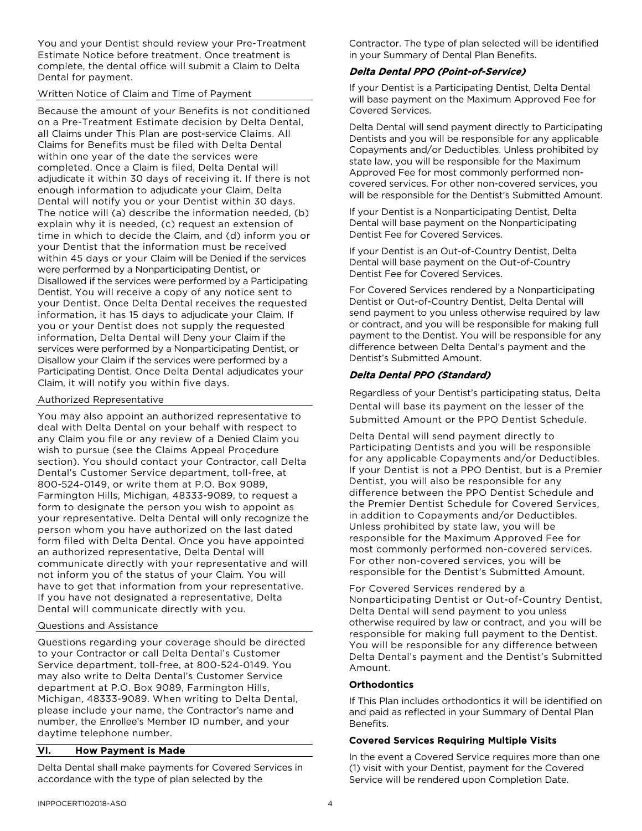You and your Dentist should review your Pre-Treatment Estimate Notice before treatment. Once treatment is complete, the dental office will submit a Claim to Delta Dental for payment.

## Written Notice of Claim and Time of Payment

Because the amount of your Benefits is not conditioned on a Pre-Treatment Estimate decision by Delta Dental, all Claims under This Plan are post-service Claims. All Claims for Benefits must be filed with Delta Dental within one year of the date the services were completed. Once a Claim is filed, Delta Dental will adjudicate it within 30 days of receiving it. If there is not enough information to adjudicate your Claim, Delta Dental will notify you or your Dentist within 30 days. The notice will (a) describe the information needed, (b) explain why it is needed, (c) request an extension of time in which to decide the Claim, and (d) inform you or your Dentist that the information must be received within 45 days or your Claim will be Denied if the services were performed by a Nonparticipating Dentist, or Disallowed if the services were performed by a Participating Dentist. You will receive a copy of any notice sent to your Dentist. Once Delta Dental receives the requested information, it has 15 days to adjudicate your Claim. If you or your Dentist does not supply the requested information, Delta Dental will Deny your Claim if the services were performed by a Nonparticipating Dentist, or Disallow your Claim if the services were performed by a Participating Dentist. Once Delta Dental adjudicates your Claim, it will notify you within five days.

## Authorized Representative

You may also appoint an authorized representative to deal with Delta Dental on your behalf with respect to any Claim you file or any review of a Denied Claim you wish to pursue (see the Claims Appeal Procedure section). You should contact your Contractor, call Delta Dental's Customer Service department, toll-free, at 800-524-0149, or write them at P.O. Box 9089, Farmington Hills, Michigan, 48333-9089, to request a form to designate the person you wish to appoint as your representative. Delta Dental will only recognize the person whom you have authorized on the last dated form filed with Delta Dental. Once you have appointed an authorized representative, Delta Dental will communicate directly with your representative and will not inform you of the status of your Claim. You will have to get that information from your representative. If you have not designated a representative, Delta Dental will communicate directly with you.

## Questions and Assistance

Questions regarding your coverage should be directed to your Contractor or call Delta Dental's Customer Service department, toll-free, at 800-524-0149. You may also write to Delta Dental's Customer Service department at P.O. Box 9089, Farmington Hills, Michigan, 48333-9089. When writing to Delta Dental, please include your name, the Contractor's name and number, the Enrollee's Member ID number, and your daytime telephone number.

## VI. How Payment is Made

Delta Dental shall make payments for Covered Services in accordance with the type of plan selected by the

Contractor. The type of plan selected will be identified in your Summary of Dental Plan Benefits.

## Delta Dental PPO (Point-of-Service)

If your Dentist is a Participating Dentist, Delta Dental will base payment on the Maximum Approved Fee for Covered Services.

Delta Dental will send payment directly to Participating Dentists and you will be responsible for any applicable Copayments and/or Deductibles. Unless prohibited by state law, you will be responsible for the Maximum Approved Fee for most commonly performed noncovered services. For other non-covered services, you will be responsible for the Dentist's Submitted Amount.

If your Dentist is a Nonparticipating Dentist, Delta Dental will base payment on the Nonparticipating Dentist Fee for Covered Services.

If your Dentist is an Out-of-Country Dentist, Delta Dental will base payment on the Out-of-Country Dentist Fee for Covered Services.

For Covered Services rendered by a Nonparticipating Dentist or Out-of-Country Dentist, Delta Dental will send payment to you unless otherwise required by law or contract, and you will be responsible for making full payment to the Dentist. You will be responsible for any difference between Delta Dental's payment and the Dentist's Submitted Amount.

# Delta Dental PPO (Standard)

Regardless of your Dentist's participating status, Delta Dental will base its payment on the lesser of the Submitted Amount or the PPO Dentist Schedule.

Delta Dental will send payment directly to Participating Dentists and you will be responsible for any applicable Copayments and/or Deductibles. If your Dentist is not a PPO Dentist, but is a Premier Dentist, you will also be responsible for any difference between the PPO Dentist Schedule and the Premier Dentist Schedule for Covered Services, in addition to Copayments and/or Deductibles. Unless prohibited by state law, you will be responsible for the Maximum Approved Fee for most commonly performed non-covered services. For other non-covered services, you will be responsible for the Dentist's Submitted Amount.

For Covered Services rendered by a Nonparticipating Dentist or Out-of-Country Dentist, Delta Dental will send payment to you unless otherwise required by law or contract, and you will be responsible for making full payment to the Dentist. You will be responsible for any difference between Delta Dental's payment and the Dentist's Submitted Amount.

## **Orthodontics**

If This Plan includes orthodontics it will be identified on and paid as reflected in your Summary of Dental Plan Benefits.

## Covered Services Requiring Multiple Visits

In the event a Covered Service requires more than one (1) visit with your Dentist, payment for the Covered Service will be rendered upon Completion Date.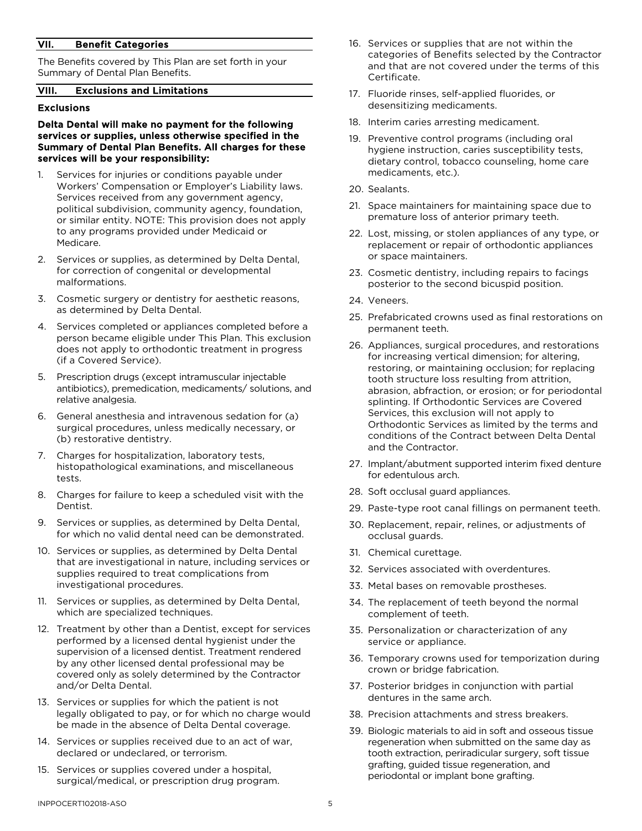## VII. Benefit Categories

The Benefits covered by This Plan are set forth in your Summary of Dental Plan Benefits.

#### VIII. Exclusions and Limitations

## Exclusions

#### Delta Dental will make no payment for the following services or supplies, unless otherwise specified in the Summary of Dental Plan Benefits. All charges for these services will be your responsibility:

- 1. Services for injuries or conditions payable under Workers' Compensation or Employer's Liability laws. Services received from any government agency, political subdivision, community agency, foundation, or similar entity. NOTE: This provision does not apply to any programs provided under Medicaid or Medicare.
- 2. Services or supplies, as determined by Delta Dental, for correction of congenital or developmental malformations.
- 3. Cosmetic surgery or dentistry for aesthetic reasons, as determined by Delta Dental.
- 4. Services completed or appliances completed before a person became eligible under This Plan. This exclusion does not apply to orthodontic treatment in progress (if a Covered Service).
- 5. Prescription drugs (except intramuscular injectable antibiotics), premedication, medicaments/ solutions, and relative analgesia.
- 6. General anesthesia and intravenous sedation for (a) surgical procedures, unless medically necessary, or (b) restorative dentistry.
- 7. Charges for hospitalization, laboratory tests, histopathological examinations, and miscellaneous tests.
- 8. Charges for failure to keep a scheduled visit with the Dentist.
- 9. Services or supplies, as determined by Delta Dental, for which no valid dental need can be demonstrated.
- 10. Services or supplies, as determined by Delta Dental that are investigational in nature, including services or supplies required to treat complications from investigational procedures.
- 11. Services or supplies, as determined by Delta Dental, which are specialized techniques.
- 12. Treatment by other than a Dentist, except for services performed by a licensed dental hygienist under the supervision of a licensed dentist. Treatment rendered by any other licensed dental professional may be covered only as solely determined by the Contractor and/or Delta Dental.
- 13. Services or supplies for which the patient is not legally obligated to pay, or for which no charge would be made in the absence of Delta Dental coverage.
- 14. Services or supplies received due to an act of war, declared or undeclared, or terrorism.
- 15. Services or supplies covered under a hospital, surgical/medical, or prescription drug program.
- 16. Services or supplies that are not within the categories of Benefits selected by the Contractor and that are not covered under the terms of this Certificate.
- 17. Fluoride rinses, self-applied fluorides, or desensitizing medicaments.
- 18. Interim caries arresting medicament.
- 19. Preventive control programs (including oral hygiene instruction, caries susceptibility tests, dietary control, tobacco counseling, home care medicaments, etc.).
- 20. Sealants.
- 21. Space maintainers for maintaining space due to premature loss of anterior primary teeth.
- 22. Lost, missing, or stolen appliances of any type, or replacement or repair of orthodontic appliances or space maintainers.
- 23. Cosmetic dentistry, including repairs to facings posterior to the second bicuspid position.
- 24. Veneers.
- 25. Prefabricated crowns used as final restorations on permanent teeth.
- 26. Appliances, surgical procedures, and restorations for increasing vertical dimension; for altering, restoring, or maintaining occlusion; for replacing tooth structure loss resulting from attrition, abrasion, abfraction, or erosion; or for periodontal splinting. If Orthodontic Services are Covered Services, this exclusion will not apply to Orthodontic Services as limited by the terms and conditions of the Contract between Delta Dental and the Contractor.
- 27. Implant/abutment supported interim fixed denture for edentulous arch.
- 28. Soft occlusal guard appliances.
- 29. Paste-type root canal fillings on permanent teeth.
- 30. Replacement, repair, relines, or adjustments of occlusal guards.
- 31. Chemical curettage.
- 32. Services associated with overdentures.
- 33. Metal bases on removable prostheses.
- 34. The replacement of teeth beyond the normal complement of teeth.
- 35. Personalization or characterization of any service or appliance.
- 36. Temporary crowns used for temporization during crown or bridge fabrication.
- 37. Posterior bridges in conjunction with partial dentures in the same arch.
- 38. Precision attachments and stress breakers.
- 39. Biologic materials to aid in soft and osseous tissue regeneration when submitted on the same day as tooth extraction, periradicular surgery, soft tissue grafting, guided tissue regeneration, and periodontal or implant bone grafting.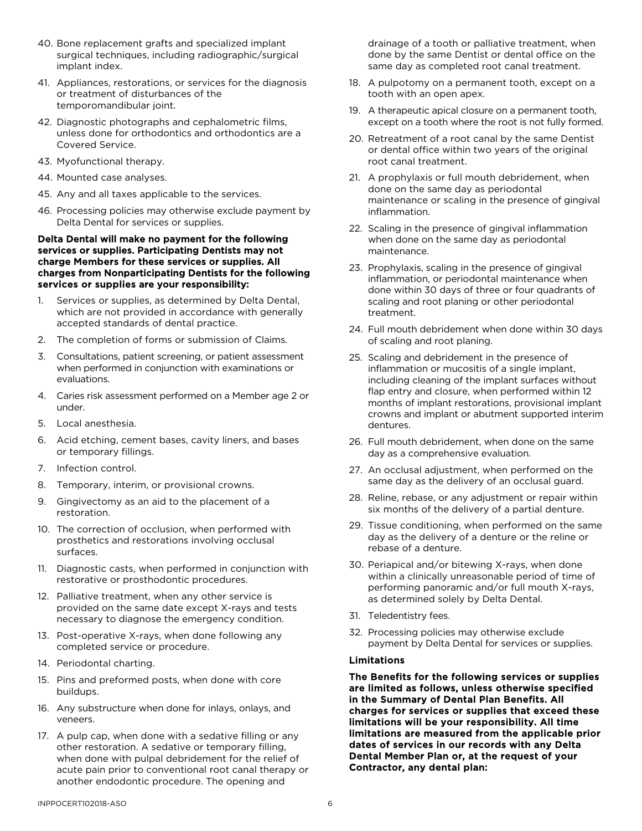- 40. Bone replacement grafts and specialized implant surgical techniques, including radiographic/surgical implant index.
- 41. Appliances, restorations, or services for the diagnosis or treatment of disturbances of the temporomandibular joint.
- 42. Diagnostic photographs and cephalometric films, unless done for orthodontics and orthodontics are a Covered Service.
- 43. Myofunctional therapy.
- 44. Mounted case analyses.
- 45. Any and all taxes applicable to the services.
- 46. Processing policies may otherwise exclude payment by Delta Dental for services or supplies.

#### Delta Dental will make no payment for the following services or supplies. Participating Dentists may not charge Members for these services or supplies. All charges from Nonparticipating Dentists for the following services or supplies are your responsibility:

- 1. Services or supplies, as determined by Delta Dental, which are not provided in accordance with generally accepted standards of dental practice.
- 2. The completion of forms or submission of Claims.
- 3. Consultations, patient screening, or patient assessment when performed in conjunction with examinations or evaluations.
- 4. Caries risk assessment performed on a Member age 2 or under.
- 5. Local anesthesia.
- 6. Acid etching, cement bases, cavity liners, and bases or temporary fillings.
- 7. Infection control.
- 8. Temporary, interim, or provisional crowns.
- 9. Gingivectomy as an aid to the placement of a restoration.
- 10. The correction of occlusion, when performed with prosthetics and restorations involving occlusal surfaces.
- 11. Diagnostic casts, when performed in conjunction with restorative or prosthodontic procedures.
- 12. Palliative treatment, when any other service is provided on the same date except X-rays and tests necessary to diagnose the emergency condition.
- 13. Post-operative X-rays, when done following any completed service or procedure.
- 14. Periodontal charting.
- 15. Pins and preformed posts, when done with core buildups.
- 16. Any substructure when done for inlays, onlays, and veneers.
- 17. A pulp cap, when done with a sedative filling or any other restoration. A sedative or temporary filling, when done with pulpal debridement for the relief of acute pain prior to conventional root canal therapy or another endodontic procedure. The opening and

drainage of a tooth or palliative treatment, when done by the same Dentist or dental office on the same day as completed root canal treatment.

- 18. A pulpotomy on a permanent tooth, except on a tooth with an open apex.
- 19. A therapeutic apical closure on a permanent tooth, except on a tooth where the root is not fully formed.
- 20. Retreatment of a root canal by the same Dentist or dental office within two years of the original root canal treatment.
- 21. A prophylaxis or full mouth debridement, when done on the same day as periodontal maintenance or scaling in the presence of gingival inflammation.
- 22. Scaling in the presence of gingival inflammation when done on the same day as periodontal maintenance.
- 23. Prophylaxis, scaling in the presence of gingival inflammation, or periodontal maintenance when done within 30 days of three or four quadrants of scaling and root planing or other periodontal treatment.
- 24. Full mouth debridement when done within 30 days of scaling and root planing.
- 25. Scaling and debridement in the presence of inflammation or mucositis of a single implant, including cleaning of the implant surfaces without flap entry and closure, when performed within 12 months of implant restorations, provisional implant crowns and implant or abutment supported interim dentures.
- 26. Full mouth debridement, when done on the same day as a comprehensive evaluation.
- 27. An occlusal adjustment, when performed on the same day as the delivery of an occlusal guard.
- 28. Reline, rebase, or any adjustment or repair within six months of the delivery of a partial denture.
- 29. Tissue conditioning, when performed on the same day as the delivery of a denture or the reline or rebase of a denture.
- 30. Periapical and/or bitewing X-rays, when done within a clinically unreasonable period of time of performing panoramic and/or full mouth X-rays, as determined solely by Delta Dental.
- 31. Teledentistry fees.
- 32. Processing policies may otherwise exclude payment by Delta Dental for services or supplies.

## Limitations

The Benefits for the following services or supplies are limited as follows, unless otherwise specified in the Summary of Dental Plan Benefits. All charges for services or supplies that exceed these limitations will be your responsibility. All time limitations are measured from the applicable prior dates of services in our records with any Delta Dental Member Plan or, at the request of your Contractor, any dental plan: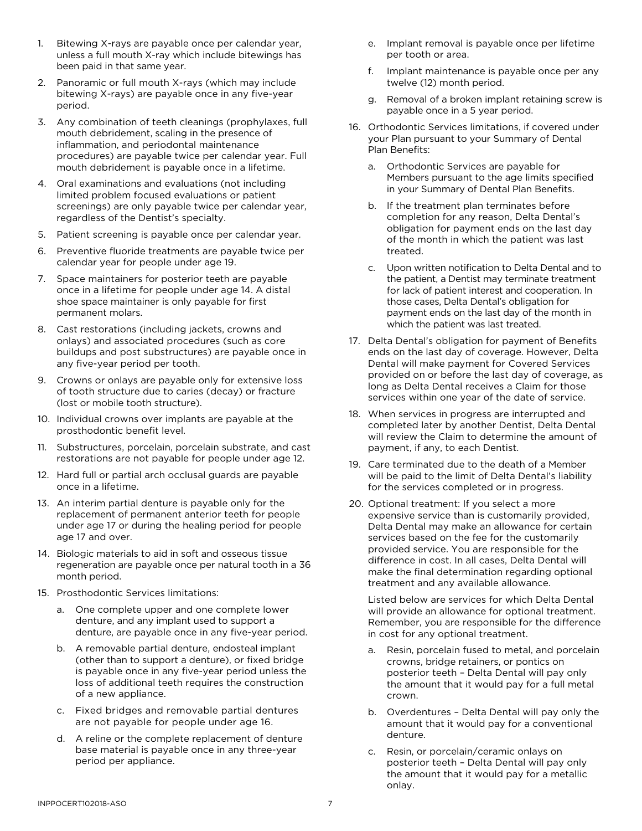- 1. Bitewing X-rays are payable once per calendar year, unless a full mouth X-ray which include bitewings has been paid in that same year.
- 2. Panoramic or full mouth X-rays (which may include bitewing X-rays) are payable once in any five-year period.
- 3. Any combination of teeth cleanings (prophylaxes, full mouth debridement, scaling in the presence of inflammation, and periodontal maintenance procedures) are payable twice per calendar year. Full mouth debridement is payable once in a lifetime.
- 4. Oral examinations and evaluations (not including limited problem focused evaluations or patient screenings) are only payable twice per calendar year, regardless of the Dentist's specialty.
- 5. Patient screening is payable once per calendar year.
- 6. Preventive fluoride treatments are payable twice per calendar year for people under age 19.
- 7. Space maintainers for posterior teeth are payable once in a lifetime for people under age 14. A distal shoe space maintainer is only payable for first permanent molars.
- 8. Cast restorations (including jackets, crowns and onlays) and associated procedures (such as core buildups and post substructures) are payable once in any five-year period per tooth.
- 9. Crowns or onlays are payable only for extensive loss of tooth structure due to caries (decay) or fracture (lost or mobile tooth structure).
- 10. Individual crowns over implants are payable at the prosthodontic benefit level.
- 11. Substructures, porcelain, porcelain substrate, and cast restorations are not payable for people under age 12.
- 12. Hard full or partial arch occlusal guards are payable once in a lifetime.
- 13. An interim partial denture is payable only for the replacement of permanent anterior teeth for people under age 17 or during the healing period for people age 17 and over.
- 14. Biologic materials to aid in soft and osseous tissue regeneration are payable once per natural tooth in a 36 month period.
- 15. Prosthodontic Services limitations:
	- a. One complete upper and one complete lower denture, and any implant used to support a denture, are payable once in any five-year period.
	- b. A removable partial denture, endosteal implant (other than to support a denture), or fixed bridge is payable once in any five-year period unless the loss of additional teeth requires the construction of a new appliance.
	- c. Fixed bridges and removable partial dentures are not payable for people under age 16.
	- d. A reline or the complete replacement of denture base material is payable once in any three-year period per appliance.
- e. Implant removal is payable once per lifetime per tooth or area.
- f. Implant maintenance is payable once per any twelve (12) month period.
- g. Removal of a broken implant retaining screw is payable once in a 5 year period.
- 16. Orthodontic Services limitations, if covered under your Plan pursuant to your Summary of Dental Plan Benefits:
	- a. Orthodontic Services are payable for Members pursuant to the age limits specified in your Summary of Dental Plan Benefits.
	- b. If the treatment plan terminates before completion for any reason, Delta Dental's obligation for payment ends on the last day of the month in which the patient was last treated.
	- c. Upon written notification to Delta Dental and to the patient, a Dentist may terminate treatment for lack of patient interest and cooperation. In those cases, Delta Dental's obligation for payment ends on the last day of the month in which the patient was last treated.
- 17. Delta Dental's obligation for payment of Benefits ends on the last day of coverage. However, Delta Dental will make payment for Covered Services provided on or before the last day of coverage, as long as Delta Dental receives a Claim for those services within one year of the date of service.
- 18. When services in progress are interrupted and completed later by another Dentist, Delta Dental will review the Claim to determine the amount of payment, if any, to each Dentist.
- 19. Care terminated due to the death of a Member will be paid to the limit of Delta Dental's liability for the services completed or in progress.
- 20. Optional treatment: If you select a more expensive service than is customarily provided, Delta Dental may make an allowance for certain services based on the fee for the customarily provided service. You are responsible for the difference in cost. In all cases, Delta Dental will make the final determination regarding optional treatment and any available allowance.

Listed below are services for which Delta Dental will provide an allowance for optional treatment. Remember, you are responsible for the difference in cost for any optional treatment.

- a. Resin, porcelain fused to metal, and porcelain crowns, bridge retainers, or pontics on posterior teeth – Delta Dental will pay only the amount that it would pay for a full metal crown.
- b. Overdentures Delta Dental will pay only the amount that it would pay for a conventional denture.
- c. Resin, or porcelain/ceramic onlays on posterior teeth – Delta Dental will pay only the amount that it would pay for a metallic onlay.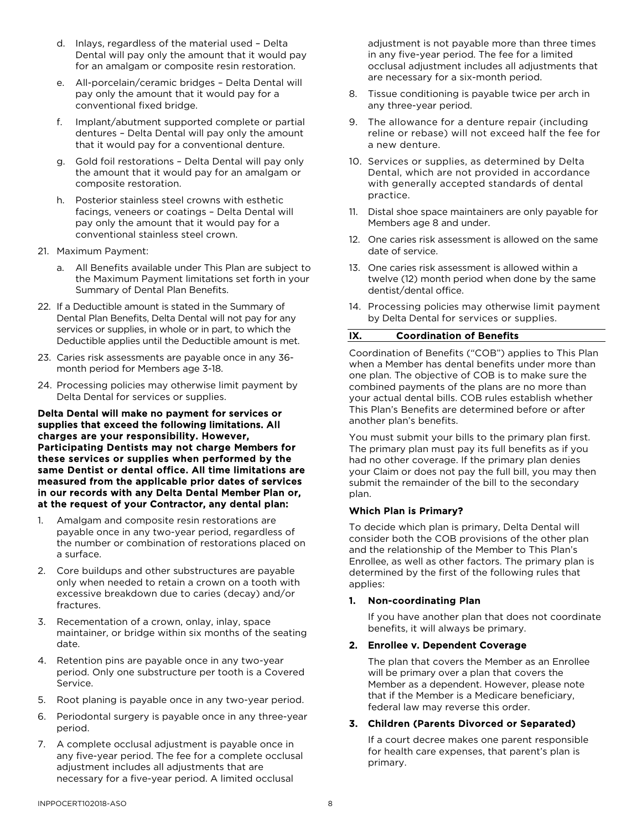- d. Inlays, regardless of the material used Delta Dental will pay only the amount that it would pay for an amalgam or composite resin restoration.
- e. All-porcelain/ceramic bridges Delta Dental will pay only the amount that it would pay for a conventional fixed bridge.
- f. Implant/abutment supported complete or partial dentures – Delta Dental will pay only the amount that it would pay for a conventional denture.
- g. Gold foil restorations Delta Dental will pay only the amount that it would pay for an amalgam or composite restoration.
- h. Posterior stainless steel crowns with esthetic facings, veneers or coatings – Delta Dental will pay only the amount that it would pay for a conventional stainless steel crown.
- 21. Maximum Payment:
	- a. All Benefits available under This Plan are subject to the Maximum Payment limitations set forth in your Summary of Dental Plan Benefits.
- 22. If a Deductible amount is stated in the Summary of Dental Plan Benefits, Delta Dental will not pay for any services or supplies, in whole or in part, to which the Deductible applies until the Deductible amount is met.
- 23. Caries risk assessments are payable once in any 36 month period for Members age 3-18.
- 24. Processing policies may otherwise limit payment by Delta Dental for services or supplies.

Delta Dental will make no payment for services or supplies that exceed the following limitations. All charges are your responsibility. However, Participating Dentists may not charge Members for these services or supplies when performed by the same Dentist or dental office. All time limitations are measured from the applicable prior dates of services in our records with any Delta Dental Member Plan or, at the request of your Contractor, any dental plan:

- 1. Amalgam and composite resin restorations are payable once in any two-year period, regardless of the number or combination of restorations placed on a surface.
- 2. Core buildups and other substructures are payable only when needed to retain a crown on a tooth with excessive breakdown due to caries (decay) and/or fractures.
- 3. Recementation of a crown, onlay, inlay, space maintainer, or bridge within six months of the seating date.
- 4. Retention pins are payable once in any two-year period. Only one substructure per tooth is a Covered Service.
- 5. Root planing is payable once in any two-year period.
- 6. Periodontal surgery is payable once in any three-year period.
- 7. A complete occlusal adjustment is payable once in any five-year period. The fee for a complete occlusal adjustment includes all adjustments that are necessary for a five-year period. A limited occlusal

adjustment is not payable more than three times in any five-year period. The fee for a limited occlusal adjustment includes all adjustments that are necessary for a six-month period.

- 8. Tissue conditioning is payable twice per arch in any three-year period.
- 9. The allowance for a denture repair (including reline or rebase) will not exceed half the fee for a new denture.
- 10. Services or supplies, as determined by Delta Dental, which are not provided in accordance with generally accepted standards of dental practice.
- 11. Distal shoe space maintainers are only payable for Members age 8 and under.
- 12. One caries risk assessment is allowed on the same date of service.
- 13. One caries risk assessment is allowed within a twelve (12) month period when done by the same dentist/dental office.
- 14. Processing policies may otherwise limit payment by Delta Dental for services or supplies.

## IX. Coordination of Benefits

Coordination of Benefits ("COB") applies to This Plan when a Member has dental benefits under more than one plan. The objective of COB is to make sure the combined payments of the plans are no more than your actual dental bills. COB rules establish whether This Plan's Benefits are determined before or after another plan's benefits.

You must submit your bills to the primary plan first. The primary plan must pay its full benefits as if you had no other coverage. If the primary plan denies your Claim or does not pay the full bill, you may then submit the remainder of the bill to the secondary plan.

## Which Plan is Primary?

To decide which plan is primary, Delta Dental will consider both the COB provisions of the other plan and the relationship of the Member to This Plan's Enrollee, as well as other factors. The primary plan is determined by the first of the following rules that applies:

## 1. Non-coordinating Plan

If you have another plan that does not coordinate benefits, it will always be primary.

#### 2. Enrollee v. Dependent Coverage

The plan that covers the Member as an Enrollee will be primary over a plan that covers the Member as a dependent. However, please note that if the Member is a Medicare beneficiary, federal law may reverse this order.

#### 3. Children (Parents Divorced or Separated)

If a court decree makes one parent responsible for health care expenses, that parent's plan is primary.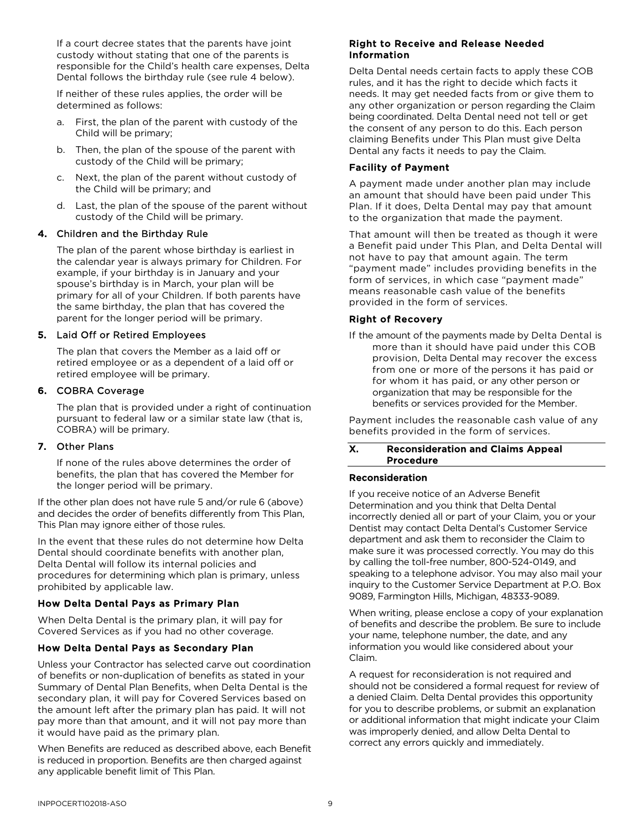If a court decree states that the parents have joint custody without stating that one of the parents is responsible for the Child's health care expenses, Delta Dental follows the birthday rule (see rule 4 below).

If neither of these rules applies, the order will be determined as follows:

- a. First, the plan of the parent with custody of the Child will be primary;
- b. Then, the plan of the spouse of the parent with custody of the Child will be primary;
- c. Next, the plan of the parent without custody of the Child will be primary; and
- d. Last, the plan of the spouse of the parent without custody of the Child will be primary.

# 4. Children and the Birthday Rule

The plan of the parent whose birthday is earliest in the calendar year is always primary for Children. For example, if your birthday is in January and your spouse's birthday is in March, your plan will be primary for all of your Children. If both parents have the same birthday, the plan that has covered the parent for the longer period will be primary.

# 5. Laid Off or Retired Employees

The plan that covers the Member as a laid off or retired employee or as a dependent of a laid off or retired employee will be primary.

# 6. COBRA Coverage

The plan that is provided under a right of continuation pursuant to federal law or a similar state law (that is, COBRA) will be primary.

## 7. Other Plans

If none of the rules above determines the order of benefits, the plan that has covered the Member for the longer period will be primary.

If the other plan does not have rule 5 and/or rule 6 (above) and decides the order of benefits differently from This Plan, This Plan may ignore either of those rules.

In the event that these rules do not determine how Delta Dental should coordinate benefits with another plan, Delta Dental will follow its internal policies and procedures for determining which plan is primary, unless prohibited by applicable law.

# How Delta Dental Pays as Primary Plan

When Delta Dental is the primary plan, it will pay for Covered Services as if you had no other coverage.

# How Delta Dental Pays as Secondary Plan

Unless your Contractor has selected carve out coordination of benefits or non-duplication of benefits as stated in your Summary of Dental Plan Benefits, when Delta Dental is the secondary plan, it will pay for Covered Services based on the amount left after the primary plan has paid. It will not pay more than that amount, and it will not pay more than it would have paid as the primary plan.

When Benefits are reduced as described above, each Benefit is reduced in proportion. Benefits are then charged against any applicable benefit limit of This Plan.

## Right to Receive and Release Needed Information

Delta Dental needs certain facts to apply these COB rules, and it has the right to decide which facts it needs. It may get needed facts from or give them to any other organization or person regarding the Claim being coordinated. Delta Dental need not tell or get the consent of any person to do this. Each person claiming Benefits under This Plan must give Delta Dental any facts it needs to pay the Claim.

# Facility of Payment

A payment made under another plan may include an amount that should have been paid under This Plan. If it does, Delta Dental may pay that amount to the organization that made the payment.

That amount will then be treated as though it were a Benefit paid under This Plan, and Delta Dental will not have to pay that amount again. The term "payment made" includes providing benefits in the form of services, in which case "payment made" means reasonable cash value of the benefits provided in the form of services.

# Right of Recovery

If the amount of the payments made by Delta Dental is more than it should have paid under this COB provision, Delta Dental may recover the excess from one or more of the persons it has paid or for whom it has paid, or any other person or organization that may be responsible for the benefits or services provided for the Member.

Payment includes the reasonable cash value of any benefits provided in the form of services.

#### X. Reconsideration and Claims Appeal Procedure

## Reconsideration

If you receive notice of an Adverse Benefit Determination and you think that Delta Dental incorrectly denied all or part of your Claim, you or your Dentist may contact Delta Dental's Customer Service department and ask them to reconsider the Claim to make sure it was processed correctly. You may do this by calling the toll-free number, 800-524-0149, and speaking to a telephone advisor. You may also mail your inquirv to the Customer Service Department at P.O. Box 9089, Farmington Hills, Michigan, 48333-9089.

When writing, please enclose a copy of your explanation of benefits and describe the problem. Be sure to include your name, telephone number, the date, and any information you would like considered about your Claim.

A request for reconsideration is not required and should not be considered a formal request for review of a denied Claim. Delta Dental provides this opportunity for you to describe problems, or submit an explanation or additional information that might indicate your Claim was improperly denied, and allow Delta Dental to correct any errors quickly and immediately.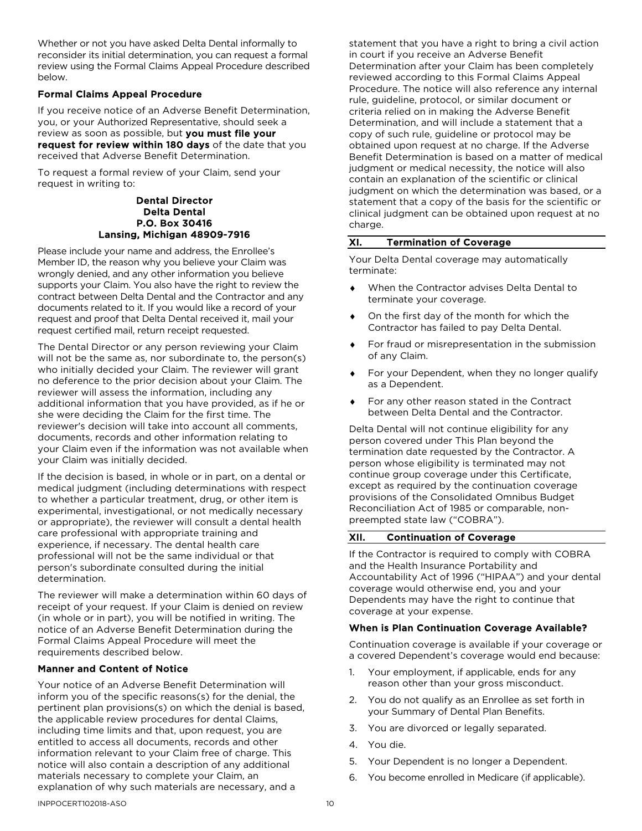Whether or not you have asked Delta Dental informally to reconsider its initial determination, you can request a formal review using the Formal Claims Appeal Procedure described below.

## Formal Claims Appeal Procedure

If you receive notice of an Adverse Benefit Determination, you, or your Authorized Representative, should seek a review as soon as possible, but you must file your request for review within 180 days of the date that you received that Adverse Benefit Determination.

To request a formal review of your Claim, send your request in writing to:

> Dental Director Delta Dental P.O. Box 30416 Lansing, Michigan 48909-7916

Please include your name and address, the Enrollee's Member ID, the reason why you believe your Claim was wrongly denied, and any other information you believe supports your Claim. You also have the right to review the contract between Delta Dental and the Contractor and any documents related to it. If you would like a record of your request and proof that Delta Dental received it, mail your request certified mail, return receipt requested.

The Dental Director or any person reviewing your Claim will not be the same as, nor subordinate to, the person(s) who initially decided your Claim. The reviewer will grant no deference to the prior decision about your Claim. The reviewer will assess the information, including any additional information that you have provided, as if he or she were deciding the Claim for the first time. The reviewer's decision will take into account all comments, documents, records and other information relating to your Claim even if the information was not available when your Claim was initially decided.

If the decision is based, in whole or in part, on a dental or medical judgment (including determinations with respect to whether a particular treatment, drug, or other item is experimental, investigational, or not medically necessary or appropriate), the reviewer will consult a dental health care professional with appropriate training and experience, if necessary. The dental health care professional will not be the same individual or that person's subordinate consulted during the initial determination.

The reviewer will make a determination within 60 days of receipt of your request. If your Claim is denied on review (in whole or in part), you will be notified in writing. The notice of an Adverse Benefit Determination during the Formal Claims Appeal Procedure will meet the requirements described below.

## Manner and Content of Notice

Your notice of an Adverse Benefit Determination will inform you of the specific reasons(s) for the denial, the pertinent plan provisions(s) on which the denial is based, the applicable review procedures for dental Claims, including time limits and that, upon request, you are entitled to access all documents, records and other information relevant to your Claim free of charge. This notice will also contain a description of any additional materials necessary to complete your Claim, an explanation of why such materials are necessary, and a

statement that you have a right to bring a civil action in court if you receive an Adverse Benefit Determination after your Claim has been completely reviewed according to this Formal Claims Appeal Procedure. The notice will also reference any internal rule, guideline, protocol, or similar document or criteria relied on in making the Adverse Benefit Determination, and will include a statement that a copy of such rule, guideline or protocol may be obtained upon request at no charge. If the Adverse Benefit Determination is based on a matter of medical judgment or medical necessity, the notice will also contain an explanation of the scientific or clinical judgment on which the determination was based, or a statement that a copy of the basis for the scientific or clinical judgment can be obtained upon request at no charge.

# XI. Termination of Coverage

Your Delta Dental coverage may automatically terminate:

- When the Contractor advises Delta Dental to terminate your coverage.
- ♦ On the first day of the month for which the Contractor has failed to pay Delta Dental.
- For fraud or misrepresentation in the submission of any Claim.
- For your Dependent, when they no longer qualify as a Dependent.
- For any other reason stated in the Contract between Delta Dental and the Contractor.

Delta Dental will not continue eligibility for any person covered under This Plan beyond the termination date requested by the Contractor. A person whose eligibility is terminated may not continue group coverage under this Certificate, except as required by the continuation coverage provisions of the Consolidated Omnibus Budget Reconciliation Act of 1985 or comparable, nonpreempted state law ("COBRA").

## XII. Continuation of Coverage

If the Contractor is required to comply with COBRA and the Health Insurance Portability and Accountability Act of 1996 ("HIPAA") and your dental coverage would otherwise end, you and your Dependents may have the right to continue that coverage at your expense.

## When is Plan Continuation Coverage Available?

Continuation coverage is available if your coverage or a covered Dependent's coverage would end because:

- 1. Your employment, if applicable, ends for any reason other than your gross misconduct.
- 2. You do not qualify as an Enrollee as set forth in your Summary of Dental Plan Benefits.
- 3. You are divorced or legally separated.
- 4. You die.
- 5. Your Dependent is no longer a Dependent.
- 6. You become enrolled in Medicare (if applicable).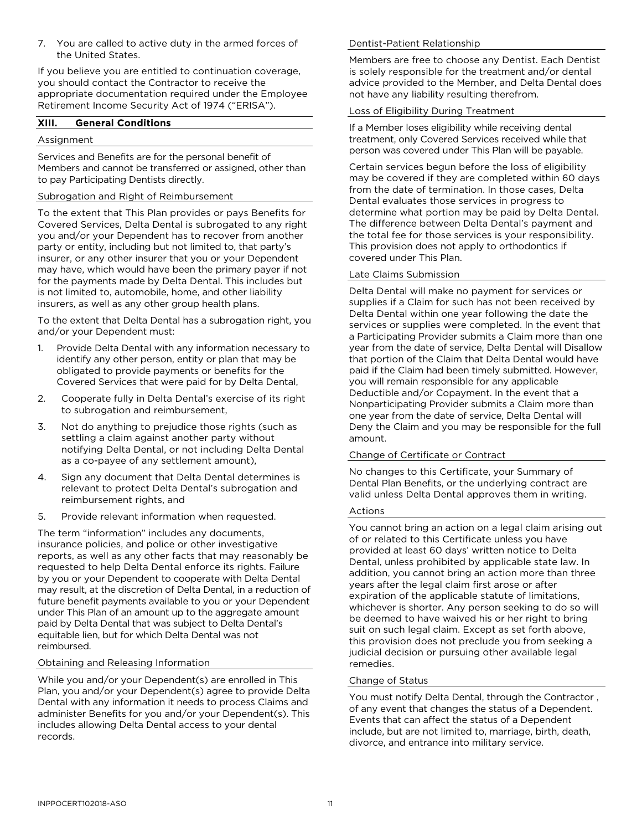7. You are called to active duty in the armed forces of the United States.

If you believe you are entitled to continuation coverage, you should contact the Contractor to receive the appropriate documentation required under the Employee Retirement Income Security Act of 1974 ("ERISA").

## XIII. General Conditions

## Assignment

Services and Benefits are for the personal benefit of Members and cannot be transferred or assigned, other than to pay Participating Dentists directly.

## Subrogation and Right of Reimbursement

To the extent that This Plan provides or pays Benefits for Covered Services, Delta Dental is subrogated to any right you and/or your Dependent has to recover from another party or entity, including but not limited to, that party's insurer, or any other insurer that you or your Dependent may have, which would have been the primary payer if not for the payments made by Delta Dental. This includes but is not limited to, automobile, home, and other liability insurers, as well as any other group health plans.

To the extent that Delta Dental has a subrogation right, you and/or your Dependent must:

- 1. Provide Delta Dental with any information necessary to identify any other person, entity or plan that may be obligated to provide payments or benefits for the Covered Services that were paid for by Delta Dental,
- 2. Cooperate fully in Delta Dental's exercise of its right to subrogation and reimbursement,
- 3. Not do anything to prejudice those rights (such as settling a claim against another party without notifying Delta Dental, or not including Delta Dental as a co-payee of any settlement amount),
- 4. Sign any document that Delta Dental determines is relevant to protect Delta Dental's subrogation and reimbursement rights, and
- 5. Provide relevant information when requested.

The term "information" includes any documents, insurance policies, and police or other investigative reports, as well as any other facts that may reasonably be requested to help Delta Dental enforce its rights. Failure by you or your Dependent to cooperate with Delta Dental may result, at the discretion of Delta Dental, in a reduction of future benefit payments available to you or your Dependent under This Plan of an amount up to the aggregate amount paid by Delta Dental that was subject to Delta Dental's equitable lien, but for which Delta Dental was not reimbursed.

## Obtaining and Releasing Information

While you and/or your Dependent(s) are enrolled in This Plan, you and/or your Dependent(s) agree to provide Delta Dental with any information it needs to process Claims and administer Benefits for you and/or your Dependent(s). This includes allowing Delta Dental access to your dental records.

## Dentist-Patient Relationship

Members are free to choose any Dentist. Each Dentist is solely responsible for the treatment and/or dental advice provided to the Member, and Delta Dental does not have any liability resulting therefrom.

## Loss of Eligibility During Treatment

If a Member loses eligibility while receiving dental treatment, only Covered Services received while that person was covered under This Plan will be payable.

Certain services begun before the loss of eligibility may be covered if they are completed within 60 days from the date of termination. In those cases, Delta Dental evaluates those services in progress to determine what portion may be paid by Delta Dental. The difference between Delta Dental's payment and the total fee for those services is your responsibility. This provision does not apply to orthodontics if covered under This Plan.

## Late Claims Submission

Delta Dental will make no payment for services or supplies if a Claim for such has not been received by Delta Dental within one year following the date the services or supplies were completed. In the event that a Participating Provider submits a Claim more than one year from the date of service, Delta Dental will Disallow that portion of the Claim that Delta Dental would have paid if the Claim had been timely submitted. However, you will remain responsible for any applicable Deductible and/or Copayment. In the event that a Nonparticipating Provider submits a Claim more than one year from the date of service, Delta Dental will Deny the Claim and you may be responsible for the full amount.

## Change of Certificate or Contract

No changes to this Certificate, your Summary of Dental Plan Benefits, or the underlying contract are valid unless Delta Dental approves them in writing.

#### Actions

You cannot bring an action on a legal claim arising out of or related to this Certificate unless you have provided at least 60 days' written notice to Delta Dental, unless prohibited by applicable state law. In addition, you cannot bring an action more than three years after the legal claim first arose or after expiration of the applicable statute of limitations, whichever is shorter. Any person seeking to do so will be deemed to have waived his or her right to bring suit on such legal claim. Except as set forth above, this provision does not preclude you from seeking a judicial decision or pursuing other available legal remedies.

## Change of Status

You must notify Delta Dental, through the Contractor , of any event that changes the status of a Dependent. Events that can affect the status of a Dependent include, but are not limited to, marriage, birth, death, divorce, and entrance into military service.